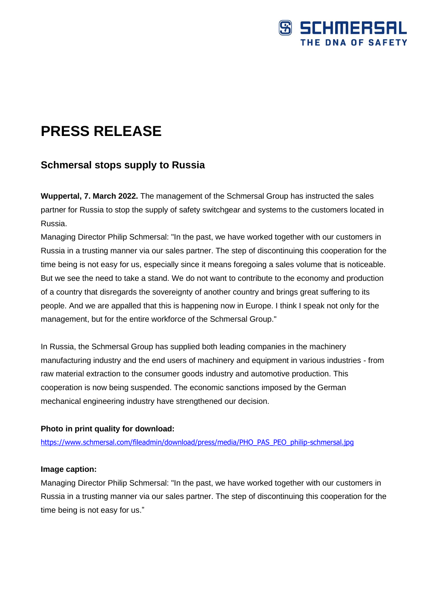

# **PRESS RELEASE**

## **Schmersal stops supply to Russia**

**Wuppertal, 7. March 2022.** The management of the Schmersal Group has instructed the sales partner for Russia to stop the supply of safety switchgear and systems to the customers located in Russia.

Managing Director Philip Schmersal: "In the past, we have worked together with our customers in Russia in a trusting manner via our sales partner. The step of discontinuing this cooperation for the time being is not easy for us, especially since it means foregoing a sales volume that is noticeable. But we see the need to take a stand. We do not want to contribute to the economy and production of a country that disregards the sovereignty of another country and brings great suffering to its people. And we are appalled that this is happening now in Europe. I think I speak not only for the management, but for the entire workforce of the Schmersal Group."

In Russia, the Schmersal Group has supplied both leading companies in the machinery manufacturing industry and the end users of machinery and equipment in various industries - from raw material extraction to the consumer goods industry and automotive production. This cooperation is now being suspended. The economic sanctions imposed by the German mechanical engineering industry have strengthened our decision.

### **Photo in print quality for download:**

[https://www.schmersal.com/fileadmin/download/press/media/PHO\\_PAS\\_PEO\\_philip-schmersal.jpg](https://deu01.safelinks.protection.outlook.com/?url=https%3A%2F%2Fwww.schmersal.com%2Ffileadmin%2Fdownload%2Fpress%2Fmedia%2FPHO_PAS_PEO_philip-schmersal.jpg&data=04%7C01%7Csbloemker%40schmersal.com%7Ca613b75d77ec408cddcc08d9fdce4b22%7Cfe0515a4282b41bfafea971aa8389773%7C0%7C0%7C637819884727318555%7CUnknown%7CTWFpbGZsb3d8eyJWIjoiMC4wLjAwMDAiLCJQIjoiV2luMzIiLCJBTiI6Ik1haWwiLCJXVCI6Mn0%3D%7C3000&sdata=gbOlLlAMhtB9NP4%2FkVm3YNCpSDfxbzlWUL9wBF13uUI%3D&reserved=0)

### **Image caption:**

Managing Director Philip Schmersal: "In the past, we have worked together with our customers in Russia in a trusting manner via our sales partner. The step of discontinuing this cooperation for the time being is not easy for us."